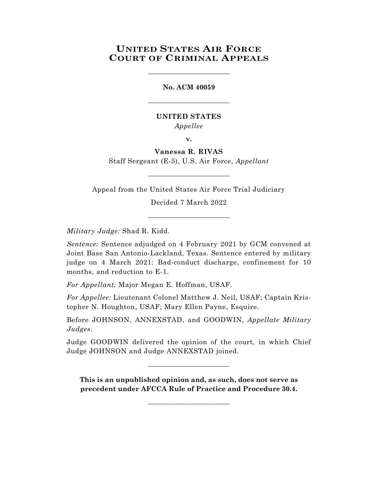# **UNITED STATES AIR FORCE COURT OF CRIMINAL APPEALS**

\_\_\_\_\_\_\_\_\_\_\_\_\_\_\_\_\_\_\_\_\_\_\_\_

## **No. ACM 40059**

 $\_$ 

# **UNITED STATES** *Appellee*

**v.**

**Vanessa R. RIVAS** Staff Sergeant (E-5), U.S. Air Force, *Appellant*

\_\_\_\_\_\_\_\_\_\_\_\_\_\_\_\_\_\_\_\_\_\_\_\_

Appeal from the United States Air Force Trial Judiciary

Decided 7 March 2022

 $\_$ 

*Military Judge:* Shad R. Kidd.

*Sentence:* Sentence adjudged on 4 February 2021 by GCM convened at Joint Base San Antonio-Lackland, Texas. Sentence entered by military judge on 4 March 2021: Bad-conduct discharge, confinement for 10 months, and reduction to E-1.

*For Appellant:* Major Megan E. Hoffman, USAF.

*For Appellee:* Lieutenant Colonel Matthew J. Neil, USAF; Captain Kristopher N. Houghton, USAF; Mary Ellen Payne, Esquire.

Before JOHNSON, ANNEXSTAD, and GOODWIN, *Appellate Military Judges*.

Judge GOODWIN delivered the opinion of the court, in which Chief Judge JOHNSON and Judge ANNEXSTAD joined.

\_\_\_\_\_\_\_\_\_\_\_\_\_\_\_\_\_\_\_\_\_\_\_\_

**This is an unpublished opinion and, as such, does not serve as precedent under AFCCA Rule of Practice and Procedure 30.4.**

 $\_$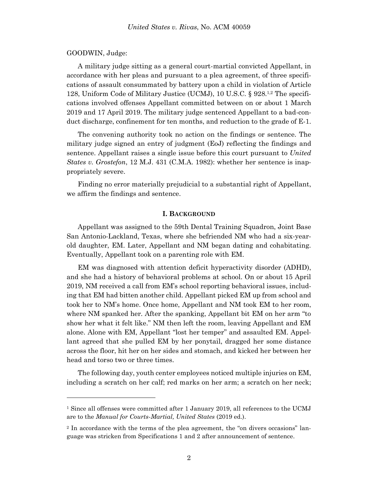#### GOODWIN, Judge:

l

A military judge sitting as a general court-martial convicted Appellant, in accordance with her pleas and pursuant to a plea agreement, of three specifications of assault consummated by battery upon a child in violation of Article 128, Uniform Code of Military Justice (UCMJ), 10 U.S.C. § 928.<sup>1,2</sup> The specifications involved offenses Appellant committed between on or about 1 March 2019 and 17 April 2019. The military judge sentenced Appellant to a bad-conduct discharge, confinement for ten months, and reduction to the grade of E-1.

The convening authority took no action on the findings or sentence. The military judge signed an entry of judgment (EoJ) reflecting the findings and sentence. Appellant raises a single issue before this court pursuant to *United States v. Grostefon*, 12 M.J. 431 (C.M.A. 1982): whether her sentence is inappropriately severe.

Finding no error materially prejudicial to a substantial right of Appellant, we affirm the findings and sentence.

#### **I. BACKGROUND**

Appellant was assigned to the 59th Dental Training Squadron, Joint Base San Antonio-Lackland, Texas, where she befriended NM who had a six-yearold daughter, EM. Later, Appellant and NM began dating and cohabitating. Eventually, Appellant took on a parenting role with EM.

EM was diagnosed with attention deficit hyperactivity disorder (ADHD), and she had a history of behavioral problems at school. On or about 15 April 2019, NM received a call from EM's school reporting behavioral issues, including that EM had bitten another child. Appellant picked EM up from school and took her to NM's home. Once home, Appellant and NM took EM to her room, where NM spanked her. After the spanking, Appellant bit EM on her arm "to show her what it felt like." NM then left the room, leaving Appellant and EM alone. Alone with EM, Appellant "lost her temper" and assaulted EM. Appellant agreed that she pulled EM by her ponytail, dragged her some distance across the floor, hit her on her sides and stomach, and kicked her between her head and torso two or three times.

The following day, youth center employees noticed multiple injuries on EM, including a scratch on her calf; red marks on her arm; a scratch on her neck;

<sup>1</sup> Since all offenses were committed after 1 January 2019, all references to the UCMJ are to the *Manual for Courts-Martial, United States* (2019 ed.).

<sup>2</sup> In accordance with the terms of the plea agreement, the "on divers occasions" language was stricken from Specifications 1 and 2 after announcement of sentence.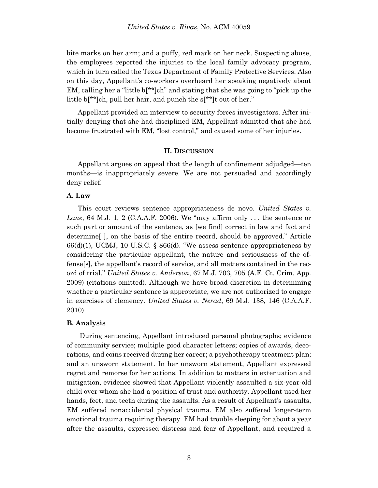bite marks on her arm; and a puffy, red mark on her neck. Suspecting abuse, the employees reported the injuries to the local family advocacy program, which in turn called the Texas Department of Family Protective Services. Also on this day, Appellant's co-workers overheard her speaking negatively about EM, calling her a "little b[\*\*]ch" and stating that she was going to "pick up the little b<sup>\*\*</sup>]ch, pull her hair, and punch the s<sup>\*\*</sup>]t out of her."

Appellant provided an interview to security forces investigators. After initially denying that she had disciplined EM, Appellant admitted that she had become frustrated with EM, "lost control," and caused some of her injuries.

### **II. DISCUSSION**

Appellant argues on appeal that the length of confinement adjudged—ten months—is inappropriately severe. We are not persuaded and accordingly deny relief.

## **A. Law**

This court reviews sentence appropriateness de novo. *United States v. Lane*, 64 M.J. 1, 2 (C.A.A.F. 2006). We "may affirm only . . . the sentence or such part or amount of the sentence, as [we find] correct in law and fact and determine[ ], on the basis of the entire record, should be approved." Article  $66(d)(1)$ , UCMJ, 10 U.S.C. § 866(d). "We assess sentence appropriateness by considering the particular appellant, the nature and seriousness of the offense[s], the appellant's record of service, and all matters contained in the record of trial." *United States v. Anderson*, 67 M.J. 703, 705 (A.F. Ct. Crim. App. 2009) (citations omitted). Although we have broad discretion in determining whether a particular sentence is appropriate, we are not authorized to engage in exercises of clemency. *United States v. Nerad*, 69 M.J. 138, 146 (C.A.A.F. 2010).

#### **B. Analysis**

During sentencing, Appellant introduced personal photographs; evidence of community service; multiple good character letters; copies of awards, decorations, and coins received during her career; a psychotherapy treatment plan; and an unsworn statement. In her unsworn statement, Appellant expressed regret and remorse for her actions. In addition to matters in extenuation and mitigation, evidence showed that Appellant violently assaulted a six-year-old child over whom she had a position of trust and authority. Appellant used her hands, feet, and teeth during the assaults. As a result of Appellant's assaults, EM suffered nonaccidental physical trauma. EM also suffered longer-term emotional trauma requiring therapy. EM had trouble sleeping for about a year after the assaults, expressed distress and fear of Appellant, and required a